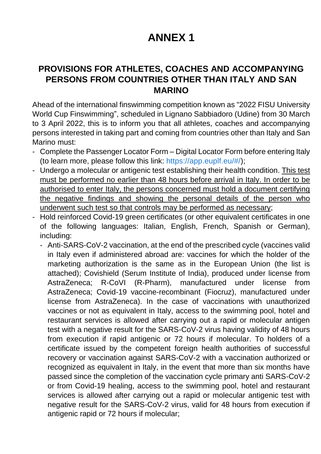## **ANNEX 1**

## **PROVISIONS FOR ATHLETES, COACHES AND ACCOMPANYING PERSONS FROM COUNTRIES OTHER THAN ITALY AND SAN MARINO**

Ahead of the international finswimming competition known as "2022 FISU University World Cup Finswimming", scheduled in Lignano Sabbiadoro (Udine) from 30 March to 3 April 2022, this is to inform you that all athletes, coaches and accompanying persons interested in taking part and coming from countries other than Italy and San Marino must:

- Complete the Passenger Locator Form Digital Locator Form before entering Italy (to learn more, please follow this link: https://app.euplf.eu/#[/\);](https://app.euplf.eu/);)
- Undergo a molecular or antigenic test establishing their health condition. This test must be performed no earlier than 48 hours before arrival in Italy. In order to be authorised to enter Italy, the persons concerned must hold a document certifying the negative findings and showing the personal details of the person who underwent such test so that controls may be performed as necessary;
- Hold reinforced Covid-19 green certificates (or other equivalent certificates in one of the following languages: Italian, English, French, Spanish or German), including:
	- Anti-SARS-CoV-2 vaccination, at the end of the prescribed cycle (vaccines valid in Italy even if administered abroad are: vaccines for which the holder of the marketing authorization is the same as in the European Union (the list is attached); Covishield (Serum Institute of India), produced under license from AstraZeneca; R-CoVI (R-Pharm), manufactured under license from AstraZeneca; Covid-19 vaccine-recombinant (Fiocruz), manufactured under license from AstraZeneca). In the case of vaccinations with unauthorized vaccines or not as equivalent in Italy, access to the swimming pool, hotel and restaurant services is allowed after carrying out a rapid or molecular antigen test with a negative result for the SARS-CoV-2 virus having validity of 48 hours from execution if rapid antigenic or 72 hours if molecular. To holders of a certificate issued by the competent foreign health authorities of successful recovery or vaccination against SARS-CoV-2 with a vaccination authorized or recognized as equivalent in Italy, in the event that more than six months have passed since the completion of the vaccination cycle primary anti SARS-CoV-2 or from Covid-19 healing, access to the swimming pool, hotel and restaurant services is allowed after carrying out a rapid or molecular antigenic test with negative result for the SARS-CoV-2 virus, valid for 48 hours from execution if antigenic rapid or 72 hours if molecular;